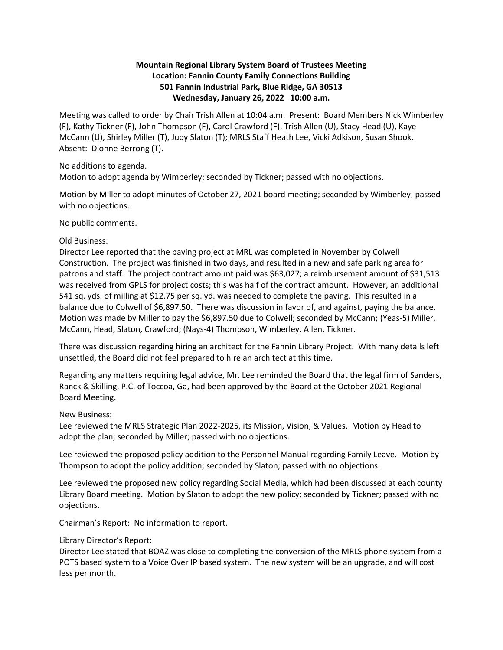# **Mountain Regional Library System Board of Trustees Meeting Location: Fannin County Family Connections Building 501 Fannin Industrial Park, Blue Ridge, GA 30513 Wednesday, January 26, 2022 10:00 a.m.**

Meeting was called to order by Chair Trish Allen at 10:04 a.m. Present: Board Members Nick Wimberley (F), Kathy Tickner (F), John Thompson (F), Carol Crawford (F), Trish Allen (U), Stacy Head (U), Kaye McCann (U), Shirley Miller (T), Judy Slaton (T); MRLS Staff Heath Lee, Vicki Adkison, Susan Shook. Absent: Dionne Berrong (T).

No additions to agenda.

Motion to adopt agenda by Wimberley; seconded by Tickner; passed with no objections.

Motion by Miller to adopt minutes of October 27, 2021 board meeting; seconded by Wimberley; passed with no objections.

No public comments.

### Old Business:

Director Lee reported that the paving project at MRL was completed in November by Colwell Construction. The project was finished in two days, and resulted in a new and safe parking area for patrons and staff. The project contract amount paid was \$63,027; a reimbursement amount of \$31,513 was received from GPLS for project costs; this was half of the contract amount. However, an additional 541 sq. yds. of milling at \$12.75 per sq. yd. was needed to complete the paving. This resulted in a balance due to Colwell of \$6,897.50. There was discussion in favor of, and against, paying the balance. Motion was made by Miller to pay the \$6,897.50 due to Colwell; seconded by McCann; (Yeas-5) Miller, McCann, Head, Slaton, Crawford; (Nays-4) Thompson, Wimberley, Allen, Tickner.

There was discussion regarding hiring an architect for the Fannin Library Project. With many details left unsettled, the Board did not feel prepared to hire an architect at this time.

Regarding any matters requiring legal advice, Mr. Lee reminded the Board that the legal firm of Sanders, Ranck & Skilling, P.C. of Toccoa, Ga, had been approved by the Board at the October 2021 Regional Board Meeting.

## New Business:

Lee reviewed the MRLS Strategic Plan 2022-2025, its Mission, Vision, & Values. Motion by Head to adopt the plan; seconded by Miller; passed with no objections.

Lee reviewed the proposed policy addition to the Personnel Manual regarding Family Leave. Motion by Thompson to adopt the policy addition; seconded by Slaton; passed with no objections.

Lee reviewed the proposed new policy regarding Social Media, which had been discussed at each county Library Board meeting. Motion by Slaton to adopt the new policy; seconded by Tickner; passed with no objections.

Chairman's Report: No information to report.

## Library Director's Report:

Director Lee stated that BOAZ was close to completing the conversion of the MRLS phone system from a POTS based system to a Voice Over IP based system. The new system will be an upgrade, and will cost less per month.